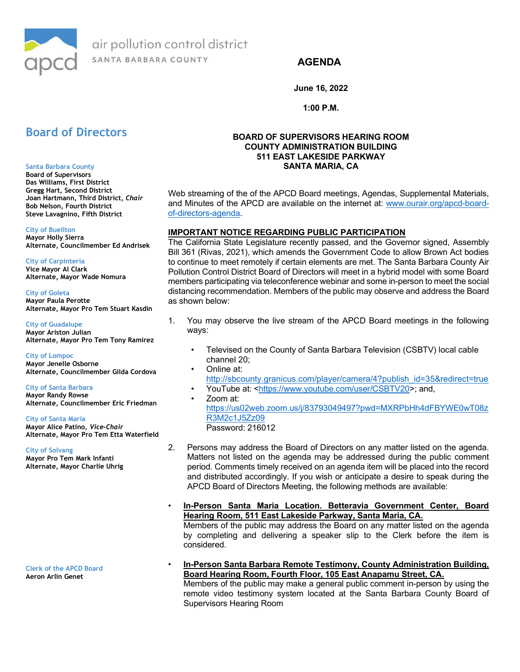

air pollution control district SANTA BARBARA COUNTY

# AGENDA

June 16, 2022

1:00 P.M.

# Board of Directors

#### Santa Barbara County

Board of Supervisors Das Williams, First District Gregg Hart, Second District Joan Hartmann, Third District, Chair Bob Nelson, Fourth District Steve Lavagnino, Fifth District

#### City of Buellton

Mayor Holly Sierra Alternate, Councilmember Ed Andrisek

#### City of Carpinteria

Vice Mayor Al Clark Alternate, Mayor Wade Nomura

City of Goleta Mayor Paula Perotte Alternate, Mayor Pro Tem Stuart Kasdin

City of Guadalupe Mayor Ariston Julian Alternate, Mayor Pro Tem Tony Ramirez

City of Lompoc Mayor Jenelle Osborne Alternate, Councilmember Gilda Cordova

City of Santa Barbara Mayor Randy Rowse Alternate, Councilmember Eric Friedman

#### City of Santa Maria

Mayor Alice Patino, Vice-Chair Alternate, Mayor Pro Tem Etta Waterfield

City of Solvang

Mayor Pro Tem Mark Infanti Alternate, Mayor Charlie Uhrig

Clerk of the APCD Board Aeron Arlin Genet

## BOARD OF SUPERVISORS HEARING ROOM COUNTY ADMINISTRATION BUILDING 511 EAST LAKESIDE PARKWAY SANTA MARIA, CA

Web streaming of the of the APCD Board meetings, Agendas, Supplemental Materials, and Minutes of the APCD are available on the internet at: www.ourair.org/apcd-boardof-directors-agenda.

## IMPORTANT NOTICE REGARDING PUBLIC PARTICIPATION

The California State Legislature recently passed, and the Governor signed, Assembly Bill 361 (Rivas, 2021), which amends the Government Code to allow Brown Act bodies to continue to meet remotely if certain elements are met. The Santa Barbara County Air Pollution Control District Board of Directors will meet in a hybrid model with some Board members participating via teleconference webinar and some in-person to meet the social distancing recommendation. Members of the public may observe and address the Board as shown below:

- 1. You may observe the live stream of the APCD Board meetings in the following ways:
	- Televised on the County of Santa Barbara Television (CSBTV) local cable channel 20;
	- Online at: http://sbcounty.granicus.com/player/camera/4?publish\_id=35&redirect=true • YouTube at: <https://www.youtube.com/user/CSBTV20>; and,
	- Zoom at: https://us02web.zoom.us/j/83793049497?pwd=MXRPbHh4dFBYWE0wT08z R3M2c1J5Zz09 Password: 216012
- 2. Persons may address the Board of Directors on any matter listed on the agenda. Matters not listed on the agenda may be addressed during the public comment period. Comments timely received on an agenda item will be placed into the record and distributed accordingly. If you wish or anticipate a desire to speak during the APCD Board of Directors Meeting, the following methods are available:
- In-Person Santa Maria Location. Betteravia Government Center, Board Hearing Room, 511 East Lakeside Parkway, Santa Maria, CA. Members of the public may address the Board on any matter listed on the agenda by completing and delivering a speaker slip to the Clerk before the item is considered.
- In-Person Santa Barbara Remote Testimony, County Administration Building, Board Hearing Room, Fourth Floor, 105 East Anapamu Street, CA. Members of the public may make a general public comment in-person by using the remote video testimony system located at the Santa Barbara County Board of Supervisors Hearing Room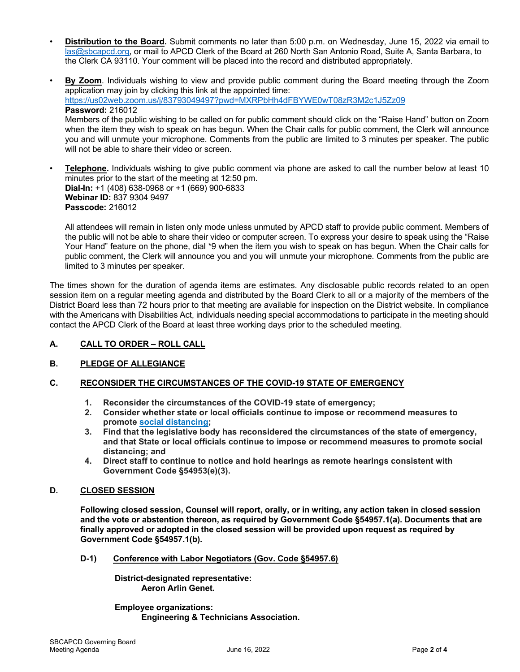- Distribution to the Board. Submit comments no later than 5:00 p.m. on Wednesday, June 15, 2022 via email to las@sbcapcd.org, or mail to APCD Clerk of the Board at 260 North San Antonio Road, Suite A, Santa Barbara, to the Clerk CA 93110. Your comment will be placed into the record and distributed appropriately.
- By Zoom. Individuals wishing to view and provide public comment during the Board meeting through the Zoom application may join by clicking this link at the appointed time: https://us02web.zoom.us/j/83793049497?pwd=MXRPbHh4dFBYWE0wT08zR3M2c1J5Zz09 Password: 216012 Members of the public wishing to be called on for public comment should click on the "Raise Hand" button on Zoom when the item they wish to speak on has begun. When the Chair calls for public comment, the Clerk will announce you and will unmute your microphone. Comments from the public are limited to 3 minutes per speaker. The public will not be able to share their video or screen.
- Telephone. Individuals wishing to give public comment via phone are asked to call the number below at least 10 minutes prior to the start of the meeting at 12:50 pm. Dial-In: +1 (408) 638-0968 or +1 (669) 900-6833 Webinar ID: 837 9304 9497 Passcode: 216012

All attendees will remain in listen only mode unless unmuted by APCD staff to provide public comment. Members of the public will not be able to share their video or computer screen. To express your desire to speak using the "Raise Your Hand" feature on the phone, dial \*9 when the item you wish to speak on has begun. When the Chair calls for public comment, the Clerk will announce you and you will unmute your microphone. Comments from the public are limited to 3 minutes per speaker.

The times shown for the duration of agenda items are estimates. Any disclosable public records related to an open session item on a regular meeting agenda and distributed by the Board Clerk to all or a majority of the members of the District Board less than 72 hours prior to that meeting are available for inspection on the District website. In compliance with the Americans with Disabilities Act, individuals needing special accommodations to participate in the meeting should contact the APCD Clerk of the Board at least three working days prior to the scheduled meeting.

# A. CALL TO ORDER – ROLL CALL

# B. PLEDGE OF ALLEGIANCE

# C. RECONSIDER THE CIRCUMSTANCES OF THE COVID-19 STATE OF EMERGENCY

- 1. Reconsider the circumstances of the COVID-19 state of emergency;
- 2. Consider whether state or local officials continue to impose or recommend measures to promote [social distancing](https://www.ourair.org/wp-content/uploads/COSB-PHD-AB361-Recommendation-02-16-22.pdf);
- 3. Find that the legislative body has reconsidered the circumstances of the state of emergency, and that State or local officials continue to impose or recommend measures to promote social distancing; and
- 4. Direct staff to continue to notice and hold hearings as remote hearings consistent with Government Code §54953(e)(3).

# D. CLOSED SESSION

Following closed session, Counsel will report, orally, or in writing, any action taken in closed session and the vote or abstention thereon, as required by Government Code §54957.1(a). Documents that are finally approved or adopted in the closed session will be provided upon request as required by Government Code §54957.1(b).

D-1) Conference with Labor Negotiators (Gov. Code §54957.6)

District-designated representative: Aeron Arlin Genet.

Employee organizations: Engineering & Technicians Association.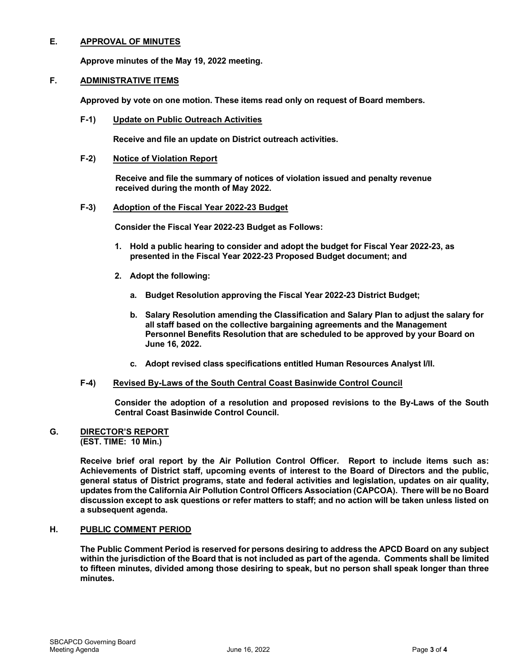## E. APPROVAL OF MINUTES

Approve minutes of the May 19, 2022 meeting.

# F. ADMINISTRATIVE ITEMS

Approved by vote on one motion. These items read only on request of Board members.

F-1) Update on Public Outreach Activities

Receive and file an update on District outreach activities.

## F-2) Notice of Violation Report

 Receive and file the summary of notices of violation issued and penalty revenue received during the month of May 2022.

## F-3) Adoption of the Fiscal Year 2022-23 Budget

Consider the Fiscal Year 2022-23 Budget as Follows:

- 1. Hold a public hearing to consider and adopt the budget for Fiscal Year 2022-23, as presented in the Fiscal Year 2022-23 Proposed Budget document; and
- 2. Adopt the following:
	- a. Budget Resolution approving the Fiscal Year 2022-23 District Budget;
	- b. Salary Resolution amending the Classification and Salary Plan to adjust the salary for all staff based on the collective bargaining agreements and the Management Personnel Benefits Resolution that are scheduled to be approved by your Board on June 16, 2022.
	- c. Adopt revised class specifications entitled Human Resources Analyst I/II.

#### F-4) Revised By-Laws of the South Central Coast Basinwide Control Council

Consider the adoption of a resolution and proposed revisions to the By-Laws of the South Central Coast Basinwide Control Council.

#### G. DIRECTOR'S REPORT (EST. TIME: 10 Min.)

Receive brief oral report by the Air Pollution Control Officer. Report to include items such as: Achievements of District staff, upcoming events of interest to the Board of Directors and the public, general status of District programs, state and federal activities and legislation, updates on air quality, updates from the California Air Pollution Control Officers Association (CAPCOA). There will be no Board discussion except to ask questions or refer matters to staff; and no action will be taken unless listed on a subsequent agenda.

#### H. PUBLIC COMMENT PERIOD

The Public Comment Period is reserved for persons desiring to address the APCD Board on any subject within the jurisdiction of the Board that is not included as part of the agenda. Comments shall be limited to fifteen minutes, divided among those desiring to speak, but no person shall speak longer than three minutes.